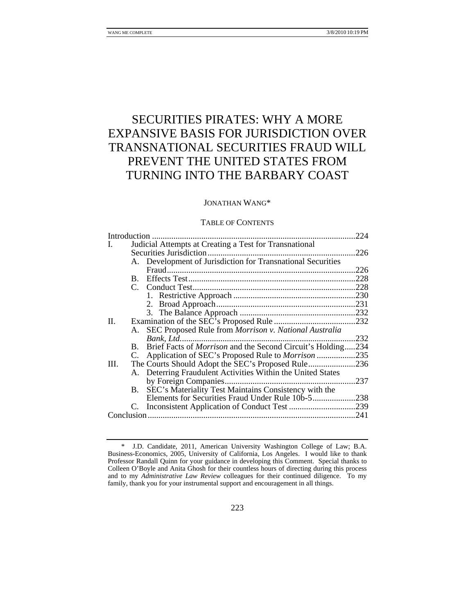# SECURITIES PIRATES: WHY A MORE EXPANSIVE BASIS FOR JURISDICTION OVER TRANSNATIONAL SECURITIES FRAUD WILL PREVENT THE UNITED STATES FROM TURNING INTO THE BARBARY COAST

# JONATHAN WANG\*

## TABLE OF CONTENTS

|      |           |                                                                | .224 |
|------|-----------|----------------------------------------------------------------|------|
| I.   |           | Judicial Attempts at Creating a Test for Transnational         |      |
|      |           |                                                                | 226  |
|      |           | A. Development of Jurisdiction for Transnational Securities    |      |
|      |           |                                                                | .226 |
|      |           |                                                                | .228 |
|      |           |                                                                | .228 |
|      |           |                                                                |      |
|      |           |                                                                |      |
|      |           |                                                                |      |
| Π.   |           |                                                                |      |
|      |           | A. SEC Proposed Rule from Morrison v. National Australia       |      |
|      |           |                                                                | .232 |
|      |           | B. Brief Facts of Morrison and the Second Circuit's Holding234 |      |
|      |           | C. Application of SEC's Proposed Rule to Morrison 235          |      |
| Ш.   |           |                                                                | .236 |
|      |           | A. Deterring Fraudulent Activities Within the United States    |      |
|      |           |                                                                | .237 |
|      | <b>B.</b> | SEC's Materiality Test Maintains Consistency with the          |      |
|      |           |                                                                |      |
|      |           |                                                                |      |
| .241 |           |                                                                |      |
|      |           |                                                                |      |

 <sup>\*</sup> J.D. Candidate, 2011, American University Washington College of Law; B.A. Business-Economics, 2005, University of California, Los Angeles. I would like to thank Professor Randall Quinn for your guidance in developing this Comment. Special thanks to Colleen O'Boyle and Anita Ghosh for their countless hours of directing during this process and to my *Administrative Law Review* colleagues for their continued diligence. To my family, thank you for your instrumental support and encouragement in all things.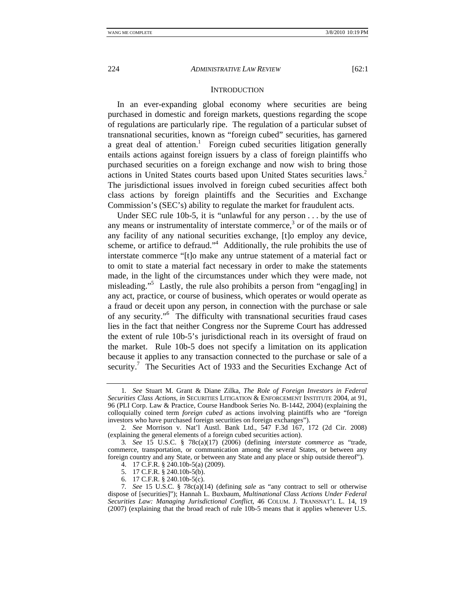#### **INTRODUCTION**

In an ever-expanding global economy where securities are being purchased in domestic and foreign markets, questions regarding the scope of regulations are particularly ripe. The regulation of a particular subset of transnational securities, known as "foreign cubed" securities, has garnered a great deal of attention.<sup>1</sup> Foreign cubed securities litigation generally entails actions against foreign issuers by a class of foreign plaintiffs who purchased securities on a foreign exchange and now wish to bring those actions in United States courts based upon United States securities laws.<sup>2</sup> The jurisdictional issues involved in foreign cubed securities affect both class actions by foreign plaintiffs and the Securities and Exchange Commission's (SEC's) ability to regulate the market for fraudulent acts.

Under SEC rule 10b-5, it is "unlawful for any person . . . by the use of any means or instrumentality of interstate commerce,<sup>3</sup> or of the mails or of any facility of any national securities exchange, [t]o employ any device, scheme, or artifice to defraud."<sup>4</sup> Additionally, the rule prohibits the use of interstate commerce "[t]o make any untrue statement of a material fact or to omit to state a material fact necessary in order to make the statements made, in the light of the circumstances under which they were made, not misleading."5 Lastly, the rule also prohibits a person from "engag[ing] in any act, practice, or course of business, which operates or would operate as a fraud or deceit upon any person, in connection with the purchase or sale of any security."6 The difficulty with transnational securities fraud cases lies in the fact that neither Congress nor the Supreme Court has addressed the extent of rule 10b-5's jurisdictional reach in its oversight of fraud on the market. Rule 10b-5 does not specify a limitation on its application because it applies to any transaction connected to the purchase or sale of a security.<sup>7</sup> The Securities Act of 1933 and the Securities Exchange Act of

- 5. 17 C.F.R. § 240.10b-5(b).
	- 6. 17 C.F.R. § 240.10b-5(c).

<sup>1</sup>*. See* Stuart M. Grant & Diane Zilka, *The Role of Foreign Investors in Federal Securities Class Actions*, *in* SECURITIES LITIGATION & ENFORCEMENT INSTITUTE 2004, at 91, 96 (PLI Corp. Law & Practice, Course Handbook Series No. B-1442, 2004) (explaining the colloquially coined term *foreign cubed* as actions involving plaintiffs who are "foreign investors who have purchased foreign securities on foreign exchanges").

<sup>2</sup>*. See* Morrison v. Nat'l Austl. Bank Ltd., 547 F.3d 167, 172 (2d Cir. 2008) (explaining the general elements of a foreign cubed securities action).

<sup>3</sup>*. See* 15 U.S.C. § 78c(a)(17) (2006) (defining *interstate commerce* as "trade, commerce, transportation, or communication among the several States, or between any foreign country and any State, or between any State and any place or ship outside thereof").

 <sup>4. 17</sup> C.F.R. § 240.10b-5(a) (2009).

<sup>7</sup>*. See* 15 U.S.C. § 78c(a)(14) (defining *sale* as "any contract to sell or otherwise dispose of [securities]"); Hannah L. Buxbaum, *Multinational Class Actions Under Federal Securities Law: Managing Jurisdictional Conflict*, 46 COLUM. J. TRANSNAT'L L. 14, 19 (2007) (explaining that the broad reach of rule 10b-5 means that it applies whenever U.S.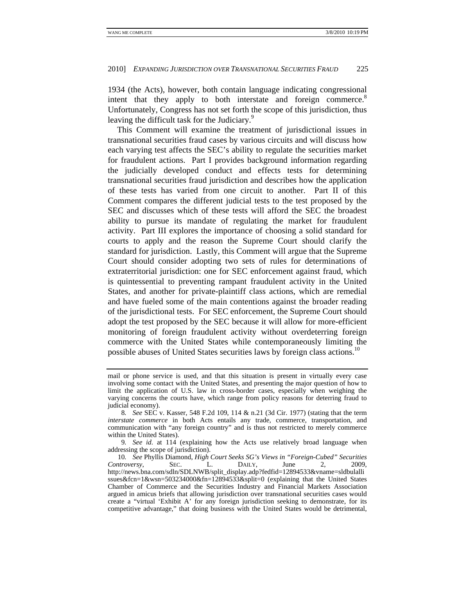1934 (the Acts), however, both contain language indicating congressional intent that they apply to both interstate and foreign commerce. $8$ Unfortunately, Congress has not set forth the scope of this jurisdiction, thus leaving the difficult task for the Judiciary.<sup>9</sup>

This Comment will examine the treatment of jurisdictional issues in transnational securities fraud cases by various circuits and will discuss how each varying test affects the SEC's ability to regulate the securities market for fraudulent actions. Part I provides background information regarding the judicially developed conduct and effects tests for determining transnational securities fraud jurisdiction and describes how the application of these tests has varied from one circuit to another. Part II of this Comment compares the different judicial tests to the test proposed by the SEC and discusses which of these tests will afford the SEC the broadest ability to pursue its mandate of regulating the market for fraudulent activity. Part III explores the importance of choosing a solid standard for courts to apply and the reason the Supreme Court should clarify the standard for jurisdiction. Lastly, this Comment will argue that the Supreme Court should consider adopting two sets of rules for determinations of extraterritorial jurisdiction: one for SEC enforcement against fraud, which is quintessential to preventing rampant fraudulent activity in the United States, and another for private-plaintiff class actions, which are remedial and have fueled some of the main contentions against the broader reading of the jurisdictional tests. For SEC enforcement, the Supreme Court should adopt the test proposed by the SEC because it will allow for more-efficient monitoring of foreign fraudulent activity without overdeterring foreign commerce with the United States while contemporaneously limiting the possible abuses of United States securities laws by foreign class actions.<sup>10</sup>

9*. See id.* at 114 (explaining how the Acts use relatively broad language when addressing the scope of jurisdiction).

mail or phone service is used, and that this situation is present in virtually every case involving some contact with the United States, and presenting the major question of how to limit the application of U.S. law in cross-border cases, especially when weighing the varying concerns the courts have, which range from policy reasons for deterring fraud to judicial economy).

<sup>8</sup>*. See* SEC v. Kasser, 548 F.2d 109, 114 & n.21 (3d Cir. 1977) (stating that the term *interstate commerce* in both Acts entails any trade, commerce, transportation, and communication with "any foreign country" and is thus not restricted to merely commerce within the United States).

<sup>10</sup>*. See* Phyllis Diamond, *High Court Seeks SG's Views in "Foreign-Cubed" Securities Controversy*, SEC. L. DAILY, June 2, 2009, http://news.bna.com/sdln/SDLNWB/split\_display.adp?fedfid=12894533&vname=sldbulalli ssues&fcn=1&wsn=503234000&fn=12894533&split=0 (explaining that the United States Chamber of Commerce and the Securities Industry and Financial Markets Association argued in amicus briefs that allowing jurisdiction over transnational securities cases would create a "virtual 'Exhibit A' for any foreign jurisdiction seeking to demonstrate, for its competitive advantage," that doing business with the United States would be detrimental,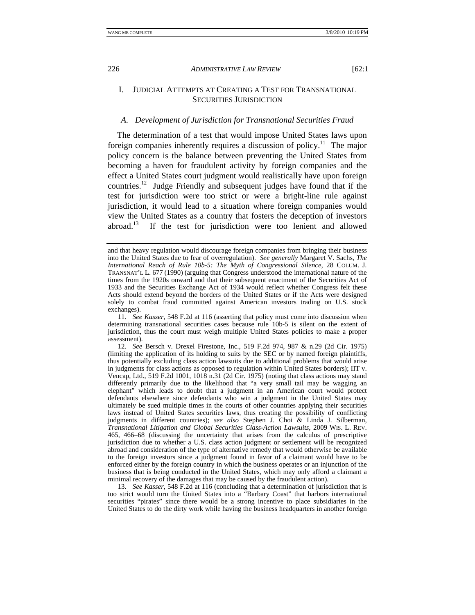# I. JUDICIAL ATTEMPTS AT CREATING A TEST FOR TRANSNATIONAL SECURITIES JURISDICTION

# *A. Development of Jurisdiction for Transnational Securities Fraud*

The determination of a test that would impose United States laws upon foreign companies inherently requires a discussion of policy.<sup>11</sup> The major policy concern is the balance between preventing the United States from becoming a haven for fraudulent activity by foreign companies and the effect a United States court judgment would realistically have upon foreign countries.12 Judge Friendly and subsequent judges have found that if the test for jurisdiction were too strict or were a bright-line rule against jurisdiction, it would lead to a situation where foreign companies would view the United States as a country that fosters the deception of investors abroad.<sup>13</sup> If the test for invisible of lengthermore too lengthermore and allowed If the test for jurisdiction were too lenient and allowed

13*. See Kasser*, 548 F.2d at 116 (concluding that a determination of jurisdiction that is too strict would turn the United States into a "Barbary Coast" that harbors international securities "pirates" since there would be a strong incentive to place subsidiaries in the United States to do the dirty work while having the business headquarters in another foreign

and that heavy regulation would discourage foreign companies from bringing their business into the United States due to fear of overregulation). *See generally* Margaret V. Sachs, *The International Reach of Rule 10b-5: The Myth of Congressional Silence*, 28 COLUM. J. TRANSNAT'L L. 677 (1990) (arguing that Congress understood the international nature of the times from the 1920s onward and that their subsequent enactment of the Securities Act of 1933 and the Securities Exchange Act of 1934 would reflect whether Congress felt these Acts should extend beyond the borders of the United States or if the Acts were designed solely to combat fraud committed against American investors trading on U.S. stock exchanges).

<sup>11</sup>*. See Kasser*, 548 F.2d at 116 (asserting that policy must come into discussion when determining transnational securities cases because rule 10b-5 is silent on the extent of jurisdiction, thus the court must weigh multiple United States policies to make a proper assessment).

<sup>12</sup>*. See* Bersch v. Drexel Firestone, Inc., 519 F.2d 974, 987 & n.29 (2d Cir. 1975) (limiting the application of its holding to suits by the SEC or by named foreign plaintiffs, thus potentially excluding class action lawsuits due to additional problems that would arise in judgments for class actions as opposed to regulation within United States borders); IIT v. Vencap, Ltd., 519 F.2d 1001, 1018 n.31 (2d Cir. 1975) (noting that class actions may stand differently primarily due to the likelihood that "a very small tail may be wagging an elephant" which leads to doubt that a judgment in an American court would protect defendants elsewhere since defendants who win a judgment in the United States may ultimately be sued multiple times in the courts of other countries applying their securities laws instead of United States securities laws, thus creating the possibility of conflicting judgments in different countries); *see also* Stephen J. Choi & Linda J. Silberman, *Transnational Litigation and Global Securities Class-Action Lawsuits*, 2009 WIS. L. REV. 465, 466–68 (discussing the uncertainty that arises from the calculus of prescriptive jurisdiction due to whether a U.S. class action judgment or settlement will be recognized abroad and consideration of the type of alternative remedy that would otherwise be available to the foreign investors since a judgment found in favor of a claimant would have to be enforced either by the foreign country in which the business operates or an injunction of the business that is being conducted in the United States, which may only afford a claimant a minimal recovery of the damages that may be caused by the fraudulent action).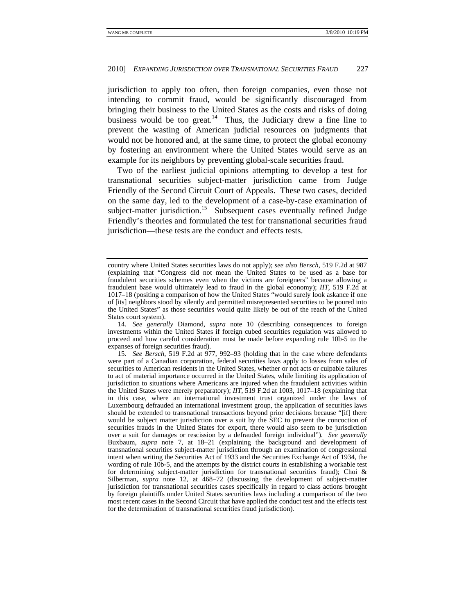jurisdiction to apply too often, then foreign companies, even those not intending to commit fraud, would be significantly discouraged from bringing their business to the United States as the costs and risks of doing business would be too great.<sup>14</sup> Thus, the Judiciary drew a fine line to prevent the wasting of American judicial resources on judgments that would not be honored and, at the same time, to protect the global economy by fostering an environment where the United States would serve as an example for its neighbors by preventing global-scale securities fraud.

Two of the earliest judicial opinions attempting to develop a test for transnational securities subject-matter jurisdiction came from Judge Friendly of the Second Circuit Court of Appeals. These two cases, decided on the same day, led to the development of a case-by-case examination of subject-matter jurisdiction.<sup>15</sup> Subsequent cases eventually refined Judge Friendly's theories and formulated the test for transnational securities fraud jurisdiction—these tests are the conduct and effects tests.

country where United States securities laws do not apply); *see also Bersch*, 519 F.2d at 987 (explaining that "Congress did not mean the United States to be used as a base for fraudulent securities schemes even when the victims are foreigners" because allowing a fraudulent base would ultimately lead to fraud in the global economy); *IIT*, 519 F.2d at 1017–18 (positing a comparison of how the United States "would surely look askance if one of [its] neighbors stood by silently and permitted misrepresented securities to be poured into the United States" as those securities would quite likely be out of the reach of the United States court system).

<sup>14</sup>*. See generally* Diamond, *supra* note 10 (describing consequences to foreign investments within the United States if foreign cubed securities regulation was allowed to proceed and how careful consideration must be made before expanding rule 10b-5 to the expanses of foreign securities fraud).

<sup>15</sup>*. See Bersch*, 519 F.2d at 977, 992–93 (holding that in the case where defendants were part of a Canadian corporation, federal securities laws apply to losses from sales of securities to American residents in the United States, whether or not acts or culpable failures to act of material importance occurred in the United States, while limiting its application of jurisdiction to situations where Americans are injured when the fraudulent activities within the United States were merely preparatory); *IIT*, 519 F.2d at 1003, 1017–18 (explaining that in this case, where an international investment trust organized under the laws of Luxembourg defrauded an international investment group, the application of securities laws should be extended to transnational transactions beyond prior decisions because "[if] there would be subject matter jurisdiction over a suit by the SEC to prevent the concoction of securities frauds in the United States for export, there would also seem to be jurisdiction over a suit for damages or rescission by a defrauded foreign individual"). *See generally* Buxbaum, *supra* note 7, at 18–21 (explaining the background and development of transnational securities subject-matter jurisdiction through an examination of congressional intent when writing the Securities Act of 1933 and the Securities Exchange Act of 1934, the wording of rule 10b-5, and the attempts by the district courts in establishing a workable test for determining subject-matter jurisdiction for transnational securities fraud); Choi & Silberman, *supra* note 12, at 468–72 (discussing the development of subject-matter jurisdiction for transnational securities cases specifically in regard to class actions brought by foreign plaintiffs under United States securities laws including a comparison of the two most recent cases in the Second Circuit that have applied the conduct test and the effects test for the determination of transnational securities fraud jurisdiction).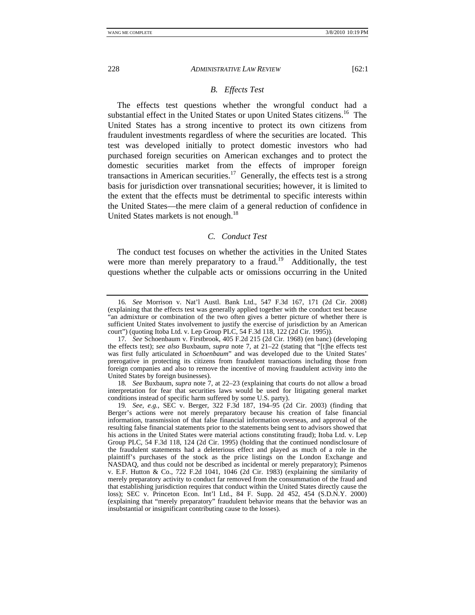# *B. Effects Test*

The effects test questions whether the wrongful conduct had a substantial effect in the United States or upon United States citizens.<sup>16</sup> The United States has a strong incentive to protect its own citizens from fraudulent investments regardless of where the securities are located. This test was developed initially to protect domestic investors who had purchased foreign securities on American exchanges and to protect the domestic securities market from the effects of improper foreign transactions in American securities.<sup>17</sup> Generally, the effects test is a strong basis for jurisdiction over transnational securities; however, it is limited to the extent that the effects must be detrimental to specific interests within the United States—the mere claim of a general reduction of confidence in United States markets is not enough.<sup>18</sup>

# *C. Conduct Test*

The conduct test focuses on whether the activities in the United States were more than merely preparatory to a fraud.<sup>19</sup> Additionally, the test questions whether the culpable acts or omissions occurring in the United

<sup>16</sup>*. See* Morrison v. Nat'l Austl. Bank Ltd., 547 F.3d 167, 171 (2d Cir. 2008) (explaining that the effects test was generally applied together with the conduct test because "an admixture or combination of the two often gives a better picture of whether there is sufficient United States involvement to justify the exercise of jurisdiction by an American court") (quoting Itoba Ltd. v. Lep Group PLC, 54 F.3d 118, 122 (2d Cir. 1995)).

<sup>17</sup>*. See* Schoenbaum v. Firstbrook, 405 F.2d 215 (2d Cir. 1968) (en banc) (developing the effects test); *see also* Buxbaum, *supra* note 7, at 21–22 (stating that "[t]he effects test was first fully articulated in *Schoenbaum*" and was developed due to the United States' prerogative in protecting its citizens from fraudulent transactions including those from foreign companies and also to remove the incentive of moving fraudulent activity into the United States by foreign businesses).

<sup>18</sup>*. See* Buxbaum, *supra* note 7, at 22–23 (explaining that courts do not allow a broad interpretation for fear that securities laws would be used for litigating general market conditions instead of specific harm suffered by some U.S. party).

<sup>19</sup>*. See, e.g.*, SEC v. Berger, 322 F.3d 187, 194–95 (2d Cir. 2003) (finding that Berger's actions were not merely preparatory because his creation of false financial information, transmission of that false financial information overseas, and approval of the resulting false financial statements prior to the statements being sent to advisors showed that his actions in the United States were material actions constituting fraud); Itoba Ltd. v. Lep Group PLC, 54 F.3d 118, 124 (2d Cir. 1995) (holding that the continued nondisclosure of the fraudulent statements had a deleterious effect and played as much of a role in the plaintiff's purchases of the stock as the price listings on the London Exchange and NASDAQ, and thus could not be described as incidental or merely preparatory); Psimenos v. E.F. Hutton & Co., 722 F.2d 1041, 1046 (2d Cir. 1983) (explaining the similarity of merely preparatory activity to conduct far removed from the consummation of the fraud and that establishing jurisdiction requires that conduct within the United States directly cause the loss); SEC v. Princeton Econ. Int'l Ltd., 84 F. Supp. 2d 452, 454 (S.D.N.Y. 2000) (explaining that "merely preparatory" fraudulent behavior means that the behavior was an insubstantial or insignificant contributing cause to the losses).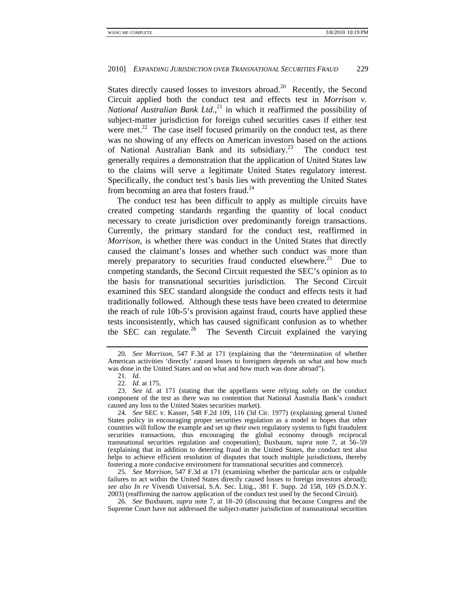States directly caused losses to investors abroad.<sup>20</sup> Recently, the Second Circuit applied both the conduct test and effects test in *Morrison v. National Australian Bank Ltd.*,<sup>21</sup> in which it reaffirmed the possibility of subject-matter jurisdiction for foreign cubed securities cases if either test were met. $^{22}$  The case itself focused primarily on the conduct test, as there was no showing of any effects on American investors based on the actions of National Australian Bank and its subsidiary.23 The conduct test generally requires a demonstration that the application of United States law to the claims will serve a legitimate United States regulatory interest. Specifically, the conduct test's basis lies with preventing the United States from becoming an area that fosters fraud.<sup>24</sup>

The conduct test has been difficult to apply as multiple circuits have created competing standards regarding the quantity of local conduct necessary to create jurisdiction over predominantly foreign transactions. Currently, the primary standard for the conduct test, reaffirmed in *Morrison*, is whether there was conduct in the United States that directly caused the claimant's losses and whether such conduct was more than merely preparatory to securities fraud conducted elsewhere.<sup>25</sup> Due to competing standards, the Second Circuit requested the SEC's opinion as to the basis for transnational securities jurisdiction. The Second Circuit examined this SEC standard alongside the conduct and effects tests it had traditionally followed. Although these tests have been created to determine the reach of rule 10b-5's provision against fraud, courts have applied these tests inconsistently, which has caused significant confusion as to whether the SEC can regulate.<sup>26</sup> The Seventh Circuit explained the varying

25*. See Morrison*, 547 F.3d at 171 (examining whether the particular acts or culpable failures to act within the United States directly caused losses to foreign investors abroad); *see also In re* Vivendi Universal, S.A. Sec. Litig., 381 F. Supp. 2d 158, 169 (S.D.N.Y. 2003) (reaffirming the narrow application of the conduct test used by the Second Circuit).

26*. See* Buxbaum, *supra* note 7, at 18–20 (discussing that because Congress and the Supreme Court have not addressed the subject-matter jurisdiction of transnational securities

<sup>20</sup>*. See Morrison*, 547 F.3d at 171 (explaining that the "determination of whether American activities 'directly' caused losses to foreigners depends on what and how much was done in the United States and on what and how much was done abroad").

<sup>21</sup>*. Id.*

<sup>22</sup>*. Id.* at 175.

<sup>23</sup>*. See id.* at 171 (stating that the appellants were relying solely on the conduct component of the test as there was no contention that National Australia Bank's conduct caused any loss to the United States securities market).

<sup>24</sup>*. See* SEC v. Kasser, 548 F.2d 109, 116 (3d Cir. 1977) (explaining general United States policy in encouraging proper securities regulation as a model in hopes that other countries will follow the example and set up their own regulatory systems to fight fraudulent securities transactions, thus encouraging the global economy through reciprocal transnational securities regulation and cooperation); Buxbaum, *supra* note 7, at 56–59 (explaining that in addition to deterring fraud in the United States, the conduct test also helps to achieve efficient resolution of disputes that touch multiple jurisdictions, thereby fostering a more conducive environment for transnational securities and commerce).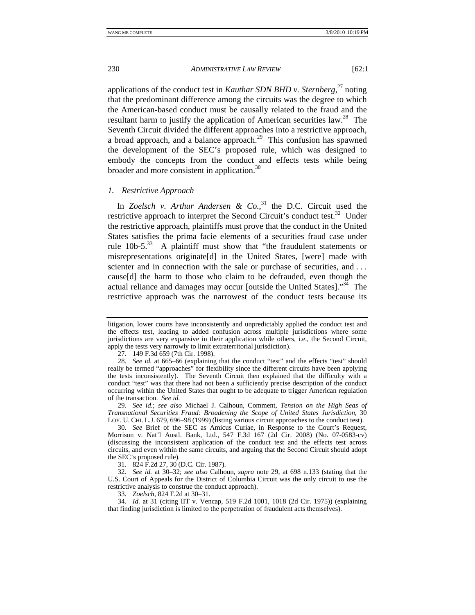applications of the conduct test in *Kauthar SDN BHD v. Sternberg*, 27 noting that the predominant difference among the circuits was the degree to which the American-based conduct must be causally related to the fraud and the resultant harm to justify the application of American securities law.<sup>28</sup> The Seventh Circuit divided the different approaches into a restrictive approach, a broad approach, and a balance approach.<sup>29</sup> This confusion has spawned the development of the SEC's proposed rule, which was designed to embody the concepts from the conduct and effects tests while being broader and more consistent in application.30

#### *1. Restrictive Approach*

In *Zoelsch v. Arthur Andersen & Co.*, <sup>31</sup> the D.C. Circuit used the restrictive approach to interpret the Second Circuit's conduct test.<sup>32</sup> Under the restrictive approach, plaintiffs must prove that the conduct in the United States satisfies the prima facie elements of a securities fraud case under rule  $10b-5$ <sup>33</sup> A plaintiff must show that "the fraudulent statements or misrepresentations originate[d] in the United States, [were] made with scienter and in connection with the sale or purchase of securities, and ... cause[d] the harm to those who claim to be defrauded, even though the actual reliance and damages may occur [outside the United States]."34 The restrictive approach was the narrowest of the conduct tests because its

27. 149 F.3d 659 (7th Cir. 1998).

29*. See id.*; *see also* Michael J. Calhoun, Comment, *Tension on the High Seas of Transnational Securities Fraud: Broadening the Scope of United States Jurisdiction*, 30 LOY. U. CHI. L.J. 679, 696–98 (1999) (listing various circuit approaches to the conduct test).

31. 824 F.2d 27, 30 (D.C. Cir. 1987).

32*. See id.* at 30–32; *see also* Calhoun, *supra* note 29, at 698 n.133 (stating that the U.S. Court of Appeals for the District of Columbia Circuit was the only circuit to use the restrictive analysis to construe the conduct approach).

33*. Zoelsch*, 824 F.2d at 30–31*.*

34*. Id.* at 31 (citing IIT v. Vencap, 519 F.2d 1001, 1018 (2d Cir. 1975)) (explaining that finding jurisdiction is limited to the perpetration of fraudulent acts themselves).

litigation, lower courts have inconsistently and unpredictably applied the conduct test and the effects test, leading to added confusion across multiple jurisdictions where some jurisdictions are very expansive in their application while others, i.e., the Second Circuit, apply the tests very narrowly to limit extraterritorial jurisdiction).

<sup>28</sup>*. See id.* at 665–66 (explaining that the conduct "test" and the effects "test" should really be termed "approaches" for flexibility since the different circuits have been applying the tests inconsistently). The Seventh Circuit then explained that the difficulty with a conduct "test" was that there had not been a sufficiently precise description of the conduct occurring within the United States that ought to be adequate to trigger American regulation of the transaction. *See id.*

<sup>30</sup>*. See* Brief of the SEC as Amicus Curiae, in Response to the Court's Request, Morrison v. Nat'l Austl. Bank, Ltd., 547 F.3d 167 (2d Cir. 2008) (No. 07-0583-cv) (discussing the inconsistent application of the conduct test and the effects test across circuits, and even within the same circuits, and arguing that the Second Circuit should adopt the SEC's proposed rule).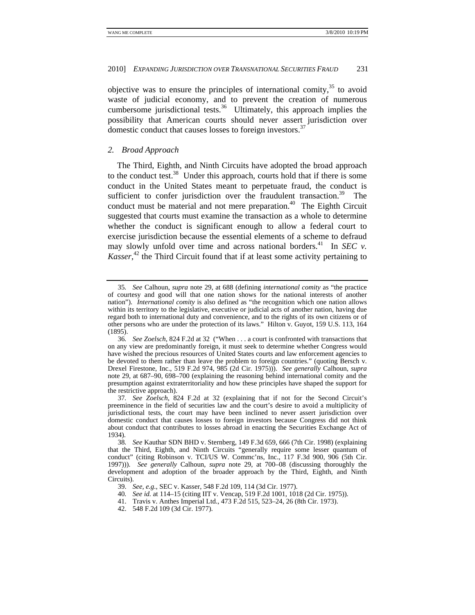objective was to ensure the principles of international comity,  $35$  to avoid waste of judicial economy, and to prevent the creation of numerous cumbersome jurisdictional tests.<sup>36</sup> Ultimately, this approach implies the possibility that American courts should never assert jurisdiction over domestic conduct that causes losses to foreign investors.<sup>37</sup>

# *2. Broad Approach*

The Third, Eighth, and Ninth Circuits have adopted the broad approach to the conduct test.<sup>38</sup> Under this approach, courts hold that if there is some conduct in the United States meant to perpetuate fraud, the conduct is sufficient to confer jurisdiction over the fraudulent transaction.<sup>39</sup> The conduct must be material and not mere preparation.<sup>40</sup> The Eighth Circuit suggested that courts must examine the transaction as a whole to determine whether the conduct is significant enough to allow a federal court to exercise jurisdiction because the essential elements of a scheme to defraud may slowly unfold over time and across national borders.<sup>41</sup> In *SEC v.* Kasser,<sup>42</sup> the Third Circuit found that if at least some activity pertaining to

<sup>35</sup>*. See* Calhoun, *supra* note 29, at 688 (defining *international comity* as "the practice of courtesy and good will that one nation shows for the national interests of another nation"). *International comity* is also defined as "the recognition which one nation allows within its territory to the legislative, executive or judicial acts of another nation, having due regard both to international duty and convenience, and to the rights of its own citizens or of other persons who are under the protection of its laws." Hilton v. Guyot, 159 U.S. 113, 164 (1895).

<sup>36</sup>*. See Zoelsch*, 824 F.2d at 32 ("When . . . a court is confronted with transactions that on any view are predominantly foreign, it must seek to determine whether Congress would have wished the precious resources of United States courts and law enforcement agencies to be devoted to them rather than leave the problem to foreign countries." (quoting Bersch v. Drexel Firestone, Inc., 519 F.2d 974, 985 (2d Cir. 1975))). *See generally* Calhoun, *supra* note 29, at 687–90, 698–700 (explaining the reasoning behind international comity and the presumption against extraterritoriality and how these principles have shaped the support for the restrictive approach).

<sup>37</sup>*. See Zoelsch*, 824 F.2d at 32 (explaining that if not for the Second Circuit's preeminence in the field of securities law and the court's desire to avoid a multiplicity of jurisdictional tests, the court may have been inclined to never assert jurisdiction over domestic conduct that causes losses to foreign investors because Congress did not think about conduct that contributes to losses abroad in enacting the Securities Exchange Act of 1934).

<sup>38</sup>*. See* Kauthar SDN BHD v. Sternberg, 149 F.3d 659, 666 (7th Cir. 1998) (explaining that the Third, Eighth, and Ninth Circuits "generally require some lesser quantum of conduct" (citing Robinson v. TCI/US W. Commc'ns, Inc., 117 F.3d 900, 906 (5th Cir. 1997))). *See generally* Calhoun, *supra* note 29, at 700–08 (discussing thoroughly the development and adoption of the broader approach by the Third, Eighth, and Ninth Circuits).

 <sup>39.</sup> *See, e.g.*, SEC v. Kasser, 548 F.2d 109, 114 (3d Cir. 1977).

<sup>40</sup>*. See id.* at 114–15 (citing IIT v. Vencap, 519 F.2d 1001, 1018 (2d Cir. 1975)).

 <sup>41.</sup> Travis v. Anthes Imperial Ltd., 473 F.2d 515, 523–24, 26 (8th Cir. 1973).

 <sup>42. 548</sup> F.2d 109 (3d Cir. 1977).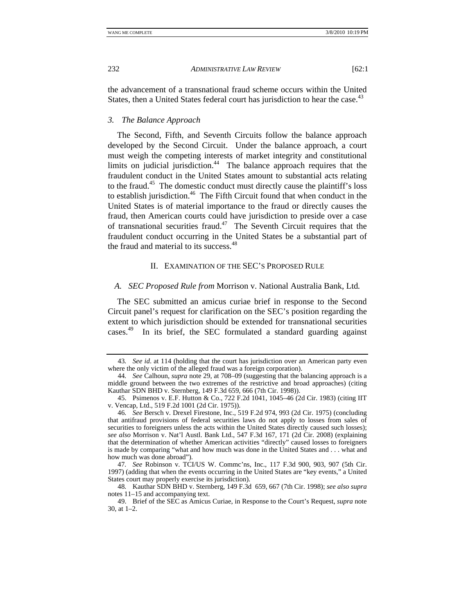the advancement of a transnational fraud scheme occurs within the United States, then a United States federal court has jurisdiction to hear the case.<sup>43</sup>

*3. The Balance Approach* 

The Second, Fifth, and Seventh Circuits follow the balance approach developed by the Second Circuit. Under the balance approach, a court must weigh the competing interests of market integrity and constitutional limits on judicial jurisdiction.<sup>44</sup> The balance approach requires that the fraudulent conduct in the United States amount to substantial acts relating to the fraud.45 The domestic conduct must directly cause the plaintiff's loss to establish jurisdiction.<sup>46</sup> The Fifth Circuit found that when conduct in the United States is of material importance to the fraud or directly causes the fraud, then American courts could have jurisdiction to preside over a case of transnational securities fraud.<sup>47</sup> The Seventh Circuit requires that the fraudulent conduct occurring in the United States be a substantial part of the fraud and material to its success.<sup>48</sup>

# II. EXAMINATION OF THE SEC'S PROPOSED RULE

## *A. SEC Proposed Rule from* Morrison v. National Australia Bank, Ltd*.*

The SEC submitted an amicus curiae brief in response to the Second Circuit panel's request for clarification on the SEC's position regarding the extent to which jurisdiction should be extended for transnational securities cases.49 In its brief, the SEC formulated a standard guarding against

<sup>43</sup>*. See id*. at 114 (holding that the court has jurisdiction over an American party even where the only victim of the alleged fraud was a foreign corporation).

<sup>44</sup>*. See* Calhoun, *supra* note 29, at 708–09 (suggesting that the balancing approach is a middle ground between the two extremes of the restrictive and broad approaches) (citing Kauthar SDN BHD v. Sternberg, 149 F.3d 659, 666 (7th Cir. 1998)).

 <sup>45.</sup> Psimenos v. E.F. Hutton & Co., 722 F.2d 1041, 1045–46 (2d Cir. 1983) (citing IIT v. Vencap, Ltd., 519 F.2d 1001 (2d Cir. 1975)).

<sup>46</sup>*. See* Bersch v. Drexel Firestone, Inc., 519 F.2d 974, 993 (2d Cir. 1975) (concluding that antifraud provisions of federal securities laws do not apply to losses from sales of securities to foreigners unless the acts within the United States directly caused such losses); *see also* Morrison v. Nat'l Austl. Bank Ltd., 547 F.3d 167, 171 (2d Cir. 2008) (explaining that the determination of whether American activities "directly" caused losses to foreigners is made by comparing "what and how much was done in the United States and . . . what and how much was done abroad").

<sup>47</sup>*. See* Robinson v. TCI/US W. Commc'ns, Inc., 117 F.3d 900, 903, 907 (5th Cir. 1997) (adding that when the events occurring in the United States are "key events," a United States court may properly exercise its jurisdiction).

<sup>48</sup>*.* Kauthar SDN BHD v. Sternberg, 149 F.3d 659, 667 (7th Cir. 1998); *see also supra* notes 11–15 and accompanying text.

 <sup>49.</sup> Brief of the SEC as Amicus Curiae, in Response to the Court's Request, *supra* note 30, at 1–2.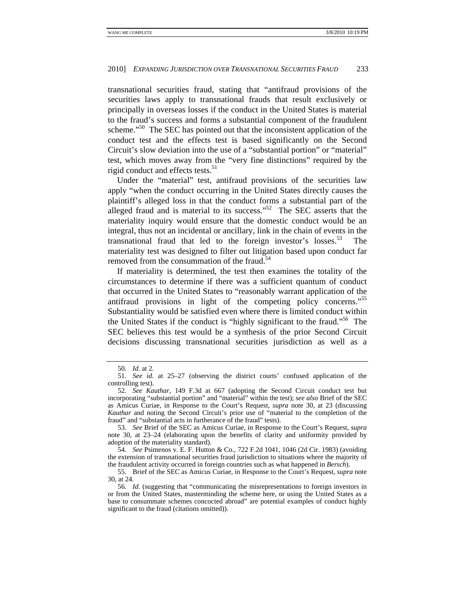transnational securities fraud, stating that "antifraud provisions of the securities laws apply to transnational frauds that result exclusively or principally in overseas losses if the conduct in the United States is material to the fraud's success and forms a substantial component of the fraudulent scheme."<sup>50</sup> The SEC has pointed out that the inconsistent application of the conduct test and the effects test is based significantly on the Second Circuit's slow deviation into the use of a "substantial portion" or "material" test, which moves away from the "very fine distinctions" required by the rigid conduct and effects tests.<sup>51</sup>

Under the "material" test, antifraud provisions of the securities law apply "when the conduct occurring in the United States directly causes the plaintiff's alleged loss in that the conduct forms a substantial part of the alleged fraud and is material to its success." $52$  The SEC asserts that the materiality inquiry would ensure that the domestic conduct would be an integral, thus not an incidental or ancillary, link in the chain of events in the transnational fraud that led to the foreign investor's losses. $53$  The materiality test was designed to filter out litigation based upon conduct far removed from the consummation of the fraud.<sup>54</sup>

If materiality is determined, the test then examines the totality of the circumstances to determine if there was a sufficient quantum of conduct that occurred in the United States to "reasonably warrant application of the antifraud provisions in light of the competing policy concerns."55 Substantiality would be satisfied even where there is limited conduct within the United States if the conduct is "highly significant to the fraud."56 The SEC believes this test would be a synthesis of the prior Second Circuit decisions discussing transnational securities jurisdiction as well as a

<sup>50</sup>*. Id*. at 2.

<sup>51</sup>*. See id*. at 25–27 (observing the district courts' confused application of the controlling test).

<sup>52</sup>*. See Kauthar*, 149 F.3d at 667 (adopting the Second Circuit conduct test but incorporating "substantial portion" and "material" within the test); *see also* Brief of the SEC as Amicus Curiae, in Response to the Court's Request, *supra* note 30, at 23 (discussing *Kauthar* and noting the Second Circuit's prior use of "material to the completion of the fraud" and "substantial acts in furtherance of the fraud" tests).

<sup>53</sup>*. See* Brief of the SEC as Amicus Curiae, in Response to the Court's Request, *supra* note 30, at 23–24 (elaborating upon the benefits of clarity and uniformity provided by adoption of the materiality standard).

<sup>54</sup>*. See* Psimenos v. E. F. Hutton & Co., 722 F.2d 1041, 1046 (2d Cir. 1983) (avoiding the extension of transnational securities fraud jurisdiction to situations where the majority of the fraudulent activity occurred in foreign countries such as what happened in *Bersch*).

 <sup>55.</sup> Brief of the SEC as Amicus Curiae, in Response to the Court's Request, *supra* note 30, at 24.

<sup>56</sup>*. Id*. (suggesting that "communicating the misrepresentations to foreign investors in or from the United States, masterminding the scheme here, or using the United States as a base to consummate schemes concocted abroad" are potential examples of conduct highly significant to the fraud (citations omitted)).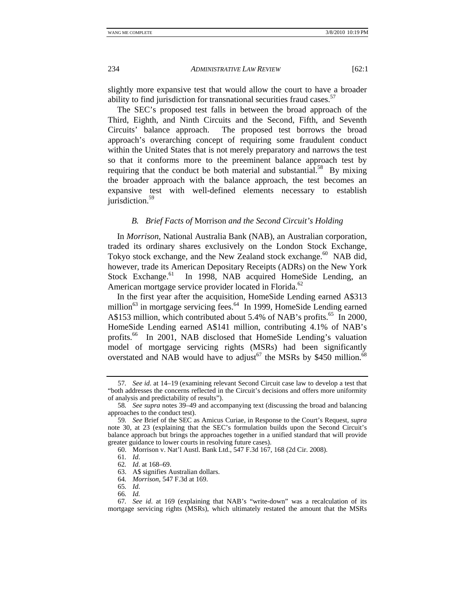slightly more expansive test that would allow the court to have a broader ability to find jurisdiction for transnational securities fraud cases.<sup>57</sup>

The SEC's proposed test falls in between the broad approach of the Third, Eighth, and Ninth Circuits and the Second, Fifth, and Seventh Circuits' balance approach. The proposed test borrows the broad approach's overarching concept of requiring some fraudulent conduct within the United States that is not merely preparatory and narrows the test so that it conforms more to the preeminent balance approach test by requiring that the conduct be both material and substantial.<sup>58</sup> By mixing the broader approach with the balance approach, the test becomes an expansive test with well-defined elements necessary to establish jurisdiction.<sup>59</sup>

# *B. Brief Facts of* Morrison *and the Second Circuit's Holding*

In *Morrison*, National Australia Bank (NAB), an Australian corporation, traded its ordinary shares exclusively on the London Stock Exchange, Tokyo stock exchange, and the New Zealand stock exchange.<sup>60</sup> NAB did, however, trade its American Depositary Receipts (ADRs) on the New York Stock Exchange.<sup>61</sup> In 1998, NAB acquired HomeSide Lending, an American mortgage service provider located in Florida.<sup>62</sup>

In the first year after the acquisition, HomeSide Lending earned A\$313 million<sup>63</sup> in mortgage servicing fees.<sup>64</sup> In 1999, HomeSide Lending earned A\$153 million, which contributed about 5.4% of NAB's profits.<sup>65</sup> In 2000, HomeSide Lending earned A\$141 million, contributing 4.1% of NAB's profits.<sup>66</sup> In 2001, NAB disclosed that HomeSide Lending's valuation model of mortgage servicing rights (MSRs) had been significantly overstated and NAB would have to adjust<sup>67</sup> the MSRs by \$450 million.<sup>68</sup>

<sup>57</sup>*. See id*. at 14–19 (examining relevant Second Circuit case law to develop a test that "both addresses the concerns reflected in the Circuit's decisions and offers more uniformity of analysis and predictability of results").

<sup>58</sup>*. See supra* notes 39–49 and accompanying text (discussing the broad and balancing approaches to the conduct test).

<sup>59</sup>*. See* Brief of the SEC as Amicus Curiae, in Response to the Court's Request, *supra* note 30, at 23 (explaining that the SEC's formulation builds upon the Second Circuit's balance approach but brings the approaches together in a unified standard that will provide greater guidance to lower courts in resolving future cases).

 <sup>60.</sup> Morrison v. Nat'l Austl. Bank Ltd., 547 F.3d 167, 168 (2d Cir. 2008).

<sup>61</sup>*. Id*.

<sup>62</sup>*. Id*. at 168–69.

 <sup>63.</sup> A\$ signifies Australian dollars.

<sup>64</sup>*. Morrison*, 547 F.3d at 169.

<sup>65</sup>*. Id*.

<sup>66</sup>*. Id.*

<sup>67</sup>*. See id*. at 169 (explaining that NAB's "write-down" was a recalculation of its mortgage servicing rights (MSRs), which ultimately restated the amount that the MSRs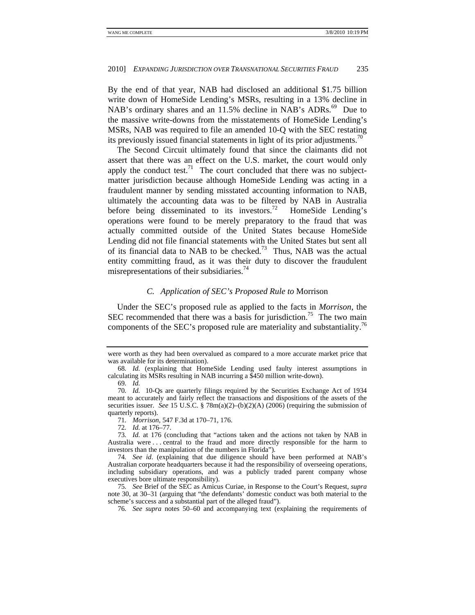By the end of that year, NAB had disclosed an additional \$1.75 billion write down of HomeSide Lending's MSRs, resulting in a 13% decline in NAB's ordinary shares and an  $11.5\%$  decline in NAB's ADRs.<sup>69</sup> Due to the massive write-downs from the misstatements of HomeSide Lending's MSRs, NAB was required to file an amended 10-Q with the SEC restating its previously issued financial statements in light of its prior adjustments.<sup>70</sup>

The Second Circuit ultimately found that since the claimants did not assert that there was an effect on the U.S. market, the court would only apply the conduct test.<sup>71</sup> The court concluded that there was no subjectmatter jurisdiction because although HomeSide Lending was acting in a fraudulent manner by sending misstated accounting information to NAB, ultimately the accounting data was to be filtered by NAB in Australia before being disseminated to its investors.<sup>72</sup> HomeSide Lending's operations were found to be merely preparatory to the fraud that was actually committed outside of the United States because HomeSide Lending did not file financial statements with the United States but sent all of its financial data to NAB to be checked.73 Thus, NAB was the actual entity committing fraud, as it was their duty to discover the fraudulent misrepresentations of their subsidiaries.<sup>74</sup>

# *C. Application of SEC's Proposed Rule to* Morrison

Under the SEC's proposed rule as applied to the facts in *Morrison*, the SEC recommended that there was a basis for jurisdiction.<sup>75</sup> The two main components of the SEC's proposed rule are materiality and substantiality.76

72*. Id.* at 176–77.

were worth as they had been overvalued as compared to a more accurate market price that was available for its determination).

<sup>68</sup>*. Id.* (explaining that HomeSide Lending used faulty interest assumptions in calculating its MSRs resulting in NAB incurring a \$450 million write-down).

<sup>69</sup>*. Id.*

<sup>70</sup>*. Id.* 10-Qs are quarterly filings required by the Securities Exchange Act of 1934 meant to accurately and fairly reflect the transactions and dispositions of the assets of the securities issuer. *See* 15 U.S.C. § 78m(a)(2)–(b)(2)(A) (2006) (requiring the submission of quarterly reports).

<sup>71</sup>*. Morrison*, 547 F.3d at 170–71, 176.

<sup>73</sup>*. Id.* at 176 (concluding that "actions taken and the actions not taken by NAB in Australia were . . . central to the fraud and more directly responsible for the harm to investors than the manipulation of the numbers in Florida").

<sup>74</sup>*. See id*. (explaining that due diligence should have been performed at NAB's Australian corporate headquarters because it had the responsibility of overseeing operations, including subsidiary operations, and was a publicly traded parent company whose executives bore ultimate responsibility).

<sup>75</sup>*. See* Brief of the SEC as Amicus Curiae, in Response to the Court's Request, *supra* note 30, at 30–31 (arguing that "the defendants' domestic conduct was both material to the scheme's success and a substantial part of the alleged fraud").

<sup>76</sup>*. See supra* notes 50–60 and accompanying text (explaining the requirements of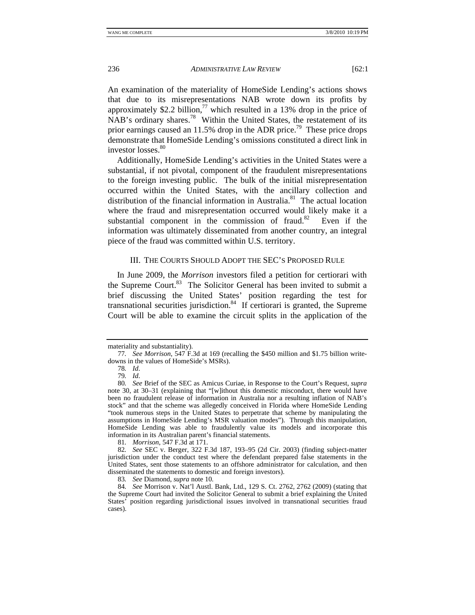An examination of the materiality of HomeSide Lending's actions shows that due to its misrepresentations NAB wrote down its profits by approximately \$2.2 billion,<sup>77</sup> which resulted in a 13% drop in the price of NAB's ordinary shares.78 Within the United States, the restatement of its prior earnings caused an 11.5% drop in the ADR price.<sup>79</sup> These price drops demonstrate that HomeSide Lending's omissions constituted a direct link in investor  $losses$ <sup>80</sup>

Additionally, HomeSide Lending's activities in the United States were a substantial, if not pivotal, component of the fraudulent misrepresentations to the foreign investing public. The bulk of the initial misrepresentation occurred within the United States, with the ancillary collection and distribution of the financial information in Australia.<sup>81</sup> The actual location where the fraud and misrepresentation occurred would likely make it a substantial component in the commission of fraud. $82$  Even if the information was ultimately disseminated from another country, an integral piece of the fraud was committed within U.S. territory.

# III. THE COURTS SHOULD ADOPT THE SEC'S PROPOSED RULE

In June 2009, the *Morrison* investors filed a petition for certiorari with the Supreme Court.<sup>83</sup> The Solicitor General has been invited to submit a brief discussing the United States' position regarding the test for transnational securities jurisdiction. $84$  If certiorari is granted, the Supreme Court will be able to examine the circuit splits in the application of the

materiality and substantiality).

<sup>77</sup>*. See Morrison*, 547 F.3d at 169 (recalling the \$450 million and \$1.75 billion writedowns in the values of HomeSide's MSRs).

<sup>78</sup>*. Id*.

<sup>79</sup>*. Id*.

<sup>80</sup>*. See* Brief of the SEC as Amicus Curiae, in Response to the Court's Request, *supra* note 30, at 30–31 (explaining that "[w]ithout this domestic misconduct, there would have been no fraudulent release of information in Australia nor a resulting inflation of NAB's stock" and that the scheme was allegedly conceived in Florida where HomeSide Lending "took numerous steps in the United States to perpetrate that scheme by manipulating the assumptions in HomeSide Lending's MSR valuation modes"). Through this manipulation, HomeSide Lending was able to fraudulently value its models and incorporate this information in its Australian parent's financial statements.

<sup>81</sup>*. Morrison*, 547 F.3d at 171.

<sup>82</sup>*. See* SEC v. Berger, 322 F.3d 187, 193–95 (2d Cir. 2003) (finding subject-matter jurisdiction under the conduct test where the defendant prepared false statements in the United States, sent those statements to an offshore administrator for calculation, and then disseminated the statements to domestic and foreign investors).

<sup>83</sup>*. See* Diamond, *supra* note 10.

<sup>84</sup>*. See* Morrison v. Nat'l Austl. Bank, Ltd., 129 S. Ct. 2762, 2762 (2009) (stating that the Supreme Court had invited the Solicitor General to submit a brief explaining the United States' position regarding jurisdictional issues involved in transnational securities fraud cases).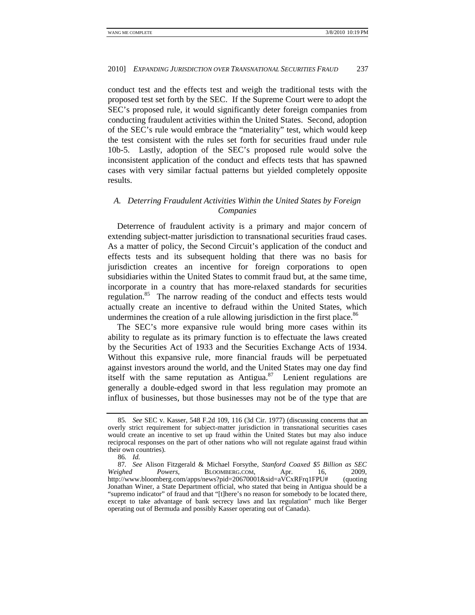conduct test and the effects test and weigh the traditional tests with the proposed test set forth by the SEC. If the Supreme Court were to adopt the SEC's proposed rule, it would significantly deter foreign companies from conducting fraudulent activities within the United States. Second, adoption of the SEC's rule would embrace the "materiality" test, which would keep the test consistent with the rules set forth for securities fraud under rule 10b-5. Lastly, adoption of the SEC's proposed rule would solve the inconsistent application of the conduct and effects tests that has spawned cases with very similar factual patterns but yielded completely opposite results.

# *A. Deterring Fraudulent Activities Within the United States by Foreign Companies*

Deterrence of fraudulent activity is a primary and major concern of extending subject-matter jurisdiction to transnational securities fraud cases. As a matter of policy, the Second Circuit's application of the conduct and effects tests and its subsequent holding that there was no basis for jurisdiction creates an incentive for foreign corporations to open subsidiaries within the United States to commit fraud but, at the same time, incorporate in a country that has more-relaxed standards for securities regulation.<sup>85</sup> The narrow reading of the conduct and effects tests would actually create an incentive to defraud within the United States, which undermines the creation of a rule allowing jurisdiction in the first place.<sup>86</sup>

The SEC's more expansive rule would bring more cases within its ability to regulate as its primary function is to effectuate the laws created by the Securities Act of 1933 and the Securities Exchange Acts of 1934. Without this expansive rule, more financial frauds will be perpetuated against investors around the world, and the United States may one day find itself with the same reputation as Antigua. $87$  Lenient regulations are generally a double-edged sword in that less regulation may promote an influx of businesses, but those businesses may not be of the type that are

<sup>85</sup>*. See* SEC v. Kasser, 548 F.2d 109, 116 (3d Cir. 1977) (discussing concerns that an overly strict requirement for subject-matter jurisdiction in transnational securities cases would create an incentive to set up fraud within the United States but may also induce reciprocal responses on the part of other nations who will not regulate against fraud within their own countries).

<sup>86</sup>*. Id.*

<sup>87</sup>*. See* Alison Fitzgerald & Michael Forsythe, *Stanford Coaxed \$5 Billion as SEC Weighed Powers*, BLOOMBERG.COM, Apr. 16, 2009, http://www.bloomberg.com/apps/news?pid=20670001&sid=aVCxRFrq1FPU# (quoting http://www.bloomberg.com/apps/news?pid=20670001&sid=aVCxRFrq1FPU# Jonathan Winer, a State Department official, who stated that being in Antigua should be a "supremo indicator" of fraud and that "[t]here's no reason for somebody to be located there, except to take advantage of bank secrecy laws and lax regulation" much like Berger operating out of Bermuda and possibly Kasser operating out of Canada).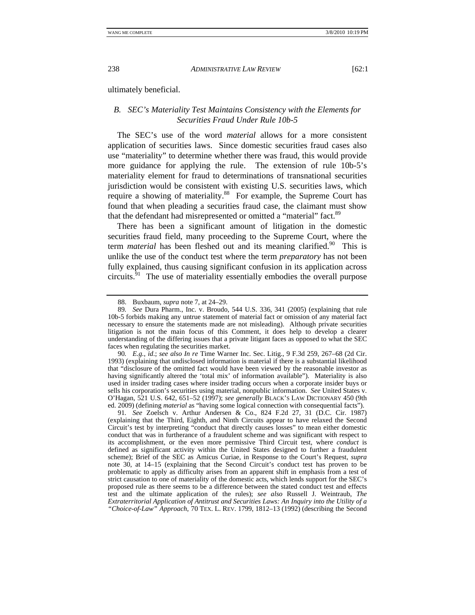ultimately beneficial.

# *B. SEC's Materiality Test Maintains Consistency with the Elements for Securities Fraud Under Rule 10b-5*

The SEC's use of the word *material* allows for a more consistent application of securities laws. Since domestic securities fraud cases also use "materiality" to determine whether there was fraud, this would provide more guidance for applying the rule. The extension of rule 10b-5's materiality element for fraud to determinations of transnational securities jurisdiction would be consistent with existing U.S. securities laws, which require a showing of materiality.<sup>88</sup> For example, the Supreme Court has found that when pleading a securities fraud case, the claimant must show that the defendant had misrepresented or omitted a "material" fact.<sup>89</sup>

There has been a significant amount of litigation in the domestic securities fraud field, many proceeding to the Supreme Court, where the term *material* has been fleshed out and its meaning clarified.<sup>90</sup> This is unlike the use of the conduct test where the term *preparatory* has not been fully explained, thus causing significant confusion in its application across circuits. $91$  The use of materiality essentially embodies the overall purpose

90*. E.g.*, *id*.; *see also In re* Time Warner Inc. Sec. Litig., 9 F.3d 259, 267–68 (2d Cir. 1993) (explaining that undisclosed information is material if there is a substantial likelihood that "disclosure of the omitted fact would have been viewed by the reasonable investor as having significantly altered the 'total mix' of information available"). Materiality is also used in insider trading cases where insider trading occurs when a corporate insider buys or sells his corporation's securities using material, nonpublic information. *See* United States v. O'Hagan, 521 U.S. 642, 651–52 (1997); *see generally* BLACK'S LAW DICTIONARY 450 (9th ed. 2009) (defining *material* as "having some logical connection with consequential facts").

91*. See* Zoelsch v. Arthur Andersen & Co., 824 F.2d 27, 31 (D.C. Cir. 1987) (explaining that the Third, Eighth, and Ninth Circuits appear to have relaxed the Second Circuit's test by interpreting "conduct that directly causes losses" to mean either domestic conduct that was in furtherance of a fraudulent scheme and was significant with respect to its accomplishment, or the even more permissive Third Circuit test, where *conduct* is defined as significant activity within the United States designed to further a fraudulent scheme); Brief of the SEC as Amicus Curiae, in Response to the Court's Request, *supra* note 30, at 14–15 (explaining that the Second Circuit's conduct test has proven to be problematic to apply as difficulty arises from an apparent shift in emphasis from a test of strict causation to one of materiality of the domestic acts, which lends support for the SEC's proposed rule as there seems to be a difference between the stated conduct test and effects test and the ultimate application of the rules); *see also* Russell J. Weintraub, *The Extraterritorial Application of Antitrust and Securities Laws: An Inquiry into the Utility of a "Choice-of-Law" Approach*, 70 TEX. L. REV. 1799, 1812–13 (1992) (describing the Second

 <sup>88.</sup> Buxbaum, *supra* note 7, at 24–29.

<sup>89</sup>*. See* Dura Pharm., Inc. v. Broudo, 544 U.S. 336, 341 (2005) (explaining that rule 10b-5 forbids making any untrue statement of material fact or omission of any material fact necessary to ensure the statements made are not misleading). Although private securities litigation is not the main focus of this Comment, it does help to develop a clearer understanding of the differing issues that a private litigant faces as opposed to what the SEC faces when regulating the securities market.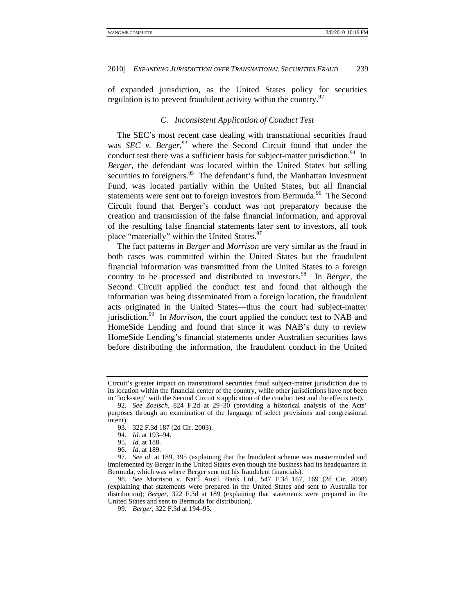of expanded jurisdiction, as the United States policy for securities regulation is to prevent fraudulent activity within the country.<sup>92</sup>

# *C. Inconsistent Application of Conduct Test*

The SEC's most recent case dealing with transnational securities fraud was *SEC v. Berger*, 93 where the Second Circuit found that under the conduct test there was a sufficient basis for subject-matter jurisdiction.<sup>94</sup> In *Berger*, the defendant was located within the United States but selling securities to foreigners.<sup>95</sup> The defendant's fund, the Manhattan Investment Fund, was located partially within the United States, but all financial statements were sent out to foreign investors from Bermuda.<sup>96</sup> The Second Circuit found that Berger's conduct was not preparatory because the creation and transmission of the false financial information, and approval of the resulting false financial statements later sent to investors, all took place "materially" within the United States.<sup>97</sup>

The fact patterns in *Berger* and *Morrison* are very similar as the fraud in both cases was committed within the United States but the fraudulent financial information was transmitted from the United States to a foreign country to be processed and distributed to investors.98 In *Berger*, the Second Circuit applied the conduct test and found that although the information was being disseminated from a foreign location, the fraudulent acts originated in the United States—thus the court had subject-matter jurisdiction.99 In *Morrison*, the court applied the conduct test to NAB and HomeSide Lending and found that since it was NAB's duty to review HomeSide Lending's financial statements under Australian securities laws before distributing the information, the fraudulent conduct in the United

Circuit's greater impact on transnational securities fraud subject-matter jurisdiction due to its location within the financial center of the country, while other jurisdictions have not been in "lock-step" with the Second Circuit's application of the conduct test and the effects test).

<sup>92</sup>*. See Zoelsch*, 824 F.2d at 29–30 (providing a historical analysis of the Acts' purposes through an examination of the language of select provisions and congressional intent).

 <sup>93. 322</sup> F.3d 187 (2d Cir. 2003).

<sup>94</sup>*. Id*. at 193–94.

<sup>95</sup>*. Id*. at 188.

<sup>96</sup>*. Id*. at 189.

<sup>97</sup>*. See id*. at 189, 195 (explaining that the fraudulent scheme was masterminded and implemented by Berger in the United States even though the business had its headquarters in Bermuda, which was where Berger sent out his fraudulent financials).

<sup>98</sup>*. See* Morrison v. Nat'l Austl. Bank Ltd., 547 F.3d 167, 169 (2d Cir. 2008) (explaining that statements were prepared in the United States and sent to Australia for distribution); *Berger*, 322 F.3d at 189 (explaining that statements were prepared in the United States and sent to Bermuda for distribution).

<sup>99</sup>*. Berger*, 322 F.3d at 194–95*.*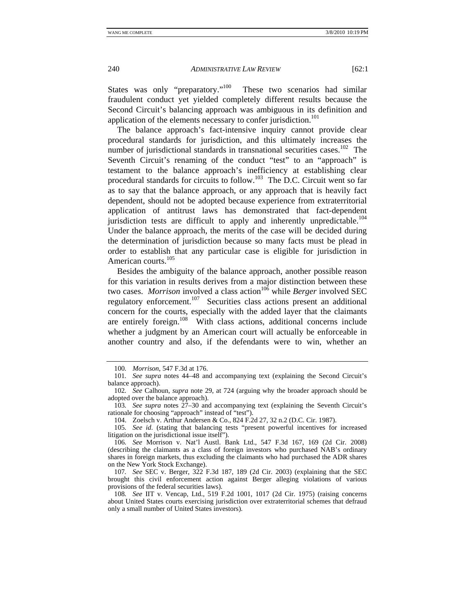States was only "preparatory."<sup>100</sup> These two scenarios had similar fraudulent conduct yet yielded completely different results because the Second Circuit's balancing approach was ambiguous in its definition and application of the elements necessary to confer jurisdiction.<sup>101</sup>

The balance approach's fact-intensive inquiry cannot provide clear procedural standards for jurisdiction, and this ultimately increases the number of jurisdictional standards in transnational securities cases.<sup>102</sup> The Seventh Circuit's renaming of the conduct "test" to an "approach" is testament to the balance approach's inefficiency at establishing clear procedural standards for circuits to follow.<sup>103</sup> The D.C. Circuit went so far as to say that the balance approach, or any approach that is heavily fact dependent, should not be adopted because experience from extraterritorial application of antitrust laws has demonstrated that fact-dependent jurisdiction tests are difficult to apply and inherently unpredictable.<sup>104</sup> Under the balance approach, the merits of the case will be decided during the determination of jurisdiction because so many facts must be plead in order to establish that any particular case is eligible for jurisdiction in American courts.<sup>105</sup>

Besides the ambiguity of the balance approach, another possible reason for this variation in results derives from a major distinction between these two cases. *Morrison* involved a class action<sup>106</sup> while *Berger* involved SEC regulatory enforcement.<sup>107</sup> Securities class actions present an additional concern for the courts, especially with the added layer that the claimants are entirely foreign.<sup>108</sup> With class actions, additional concerns include whether a judgment by an American court will actually be enforceable in another country and also, if the defendants were to win, whether an

<sup>100</sup>*. Morrison*, 547 F.3d at 176.

<sup>101</sup>*. See supra* notes 44–48 and accompanying text (explaining the Second Circuit's balance approach).

<sup>102</sup>*. See* Calhoun, *supra* note 29, at 724 (arguing why the broader approach should be adopted over the balance approach).

<sup>103</sup>*. See supra* notes 27–30 and accompanying text (explaining the Seventh Circuit's rationale for choosing "approach" instead of "test").

 <sup>104.</sup> Zoelsch v. Arthur Andersen & Co., 824 F.2d 27, 32 n.2 (D.C. Cir. 1987).

<sup>105</sup>*. See id*. (stating that balancing tests "present powerful incentives for increased litigation on the jurisdictional issue itself").

<sup>106</sup>*. See* Morrison v. Nat'l Austl. Bank Ltd., 547 F.3d 167, 169 (2d Cir. 2008) (describing the claimants as a class of foreign investors who purchased NAB's ordinary shares in foreign markets, thus excluding the claimants who had purchased the ADR shares on the New York Stock Exchange).

<sup>107</sup>*. See* SEC v. Berger, 322 F.3d 187, 189 (2d Cir. 2003) (explaining that the SEC brought this civil enforcement action against Berger alleging violations of various provisions of the federal securities laws).

<sup>108</sup>*. See* IIT v. Vencap, Ltd., 519 F.2d 1001, 1017 (2d Cir. 1975) (raising concerns about United States courts exercising jurisdiction over extraterritorial schemes that defraud only a small number of United States investors).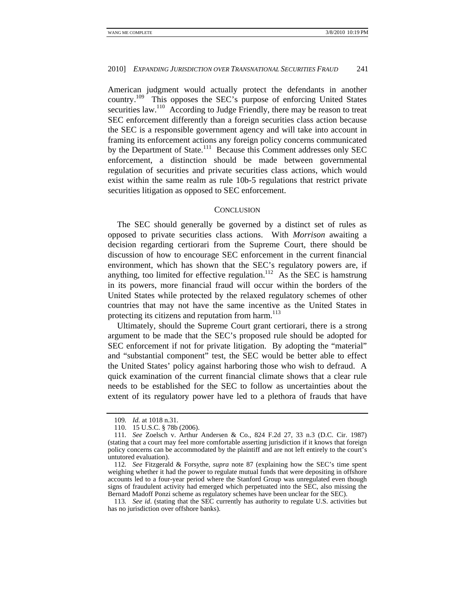American judgment would actually protect the defendants in another country.109 This opposes the SEC's purpose of enforcing United States securities law.<sup>110</sup> According to Judge Friendly, there may be reason to treat SEC enforcement differently than a foreign securities class action because the SEC is a responsible government agency and will take into account in framing its enforcement actions any foreign policy concerns communicated by the Department of State.<sup>111</sup> Because this Comment addresses only SEC enforcement, a distinction should be made between governmental regulation of securities and private securities class actions, which would exist within the same realm as rule 10b-5 regulations that restrict private securities litigation as opposed to SEC enforcement.

## **CONCLUSION**

The SEC should generally be governed by a distinct set of rules as opposed to private securities class actions. With *Morrison* awaiting a decision regarding certiorari from the Supreme Court, there should be discussion of how to encourage SEC enforcement in the current financial environment, which has shown that the SEC's regulatory powers are, if anything, too limited for effective regulation.<sup>112</sup> As the SEC is hamstrung in its powers, more financial fraud will occur within the borders of the United States while protected by the relaxed regulatory schemes of other countries that may not have the same incentive as the United States in protecting its citizens and reputation from harm.<sup>113</sup>

Ultimately, should the Supreme Court grant certiorari, there is a strong argument to be made that the SEC's proposed rule should be adopted for SEC enforcement if not for private litigation. By adopting the "material" and "substantial component" test, the SEC would be better able to effect the United States' policy against harboring those who wish to defraud. A quick examination of the current financial climate shows that a clear rule needs to be established for the SEC to follow as uncertainties about the extent of its regulatory power have led to a plethora of frauds that have

<sup>109</sup>*. Id.* at 1018 n.31.

 <sup>110. 15</sup> U.S.C. § 78b (2006).

<sup>111</sup>*. See* Zoelsch v. Arthur Andersen & Co., 824 F.2d 27, 33 n.3 (D.C. Cir. 1987) (stating that a court may feel more comfortable asserting jurisdiction if it knows that foreign policy concerns can be accommodated by the plaintiff and are not left entirely to the court's untutored evaluation).

<sup>112</sup>*. See* Fitzgerald & Forsythe, *supra* note 87 (explaining how the SEC's time spent weighing whether it had the power to regulate mutual funds that were depositing in offshore accounts led to a four-year period where the Stanford Group was unregulated even though signs of fraudulent activity had emerged which perpetuated into the SEC, also missing the Bernard Madoff Ponzi scheme as regulatory schemes have been unclear for the SEC).

<sup>113</sup>*. See id*. (stating that the SEC currently has authority to regulate U.S. activities but has no jurisdiction over offshore banks).